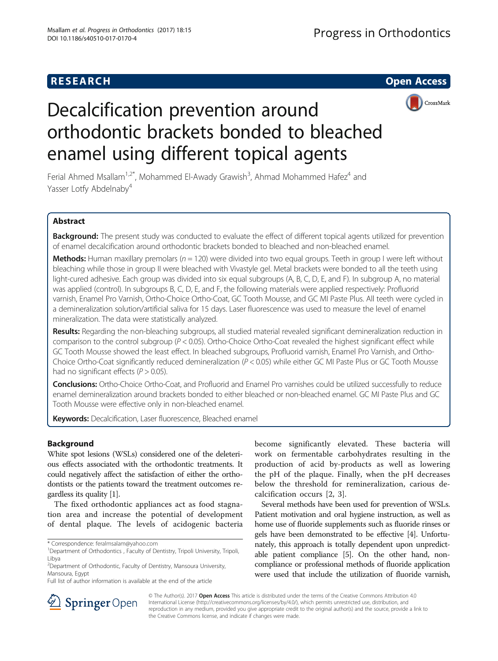## **RESEARCH CHE Open Access**



# Decalcification prevention around orthodontic brackets bonded to bleached enamel using different topical agents

Ferial Ahmed Msallam<sup>1,2\*</sup>, Mohammed El-Awady Grawish<sup>3</sup>, Ahmad Mohammed Hafez<sup>4</sup> and Yasser Lotfy Abdelnaby<sup>4</sup>

## Abstract

Background: The present study was conducted to evaluate the effect of different topical agents utilized for prevention of enamel decalcification around orthodontic brackets bonded to bleached and non-bleached enamel.

Methods: Human maxillary premolars ( $n = 120$ ) were divided into two equal groups. Teeth in group I were left without bleaching while those in group II were bleached with Vivastyle gel. Metal brackets were bonded to all the teeth using light-cured adhesive. Each group was divided into six equal subgroups (A, B, C, D, E, and F). In subgroup A, no material was applied (control). In subgroups B, C, D, E, and F, the following materials were applied respectively: Profluorid varnish, Enamel Pro Varnish, Ortho-Choice Ortho-Coat, GC Tooth Mousse, and GC MI Paste Plus. All teeth were cycled in a demineralization solution/artificial saliva for 15 days. Laser fluorescence was used to measure the level of enamel mineralization. The data were statistically analyzed.

Results: Regarding the non-bleaching subgroups, all studied material revealed significant demineralization reduction in comparison to the control subgroup ( $P < 0.05$ ). Ortho-Choice Ortho-Coat revealed the highest significant effect while GC Tooth Mousse showed the least effect. In bleached subgroups, Profluorid varnish, Enamel Pro Varnish, and Ortho-Choice Ortho-Coat significantly reduced demineralization ( $P < 0.05$ ) while either GC MI Paste Plus or GC Tooth Mousse had no significant effects ( $P > 0.05$ ).

Conclusions: Ortho-Choice Ortho-Coat, and Profluorid and Enamel Pro varnishes could be utilized successfully to reduce enamel demineralization around brackets bonded to either bleached or non-bleached enamel. GC MI Paste Plus and GC Tooth Mousse were effective only in non-bleached enamel.

Keywords: Decalcification, Laser fluorescence, Bleached enamel

## Background

White spot lesions (WSLs) considered one of the deleterious effects associated with the orthodontic treatments. It could negatively affect the satisfaction of either the orthodontists or the patients toward the treatment outcomes regardless its quality [\[1\]](#page-5-0).

The fixed orthodontic appliances act as food stagnation area and increase the potential of development of dental plaque. The levels of acidogenic bacteria

2 Department of Orthodontic, Faculty of Dentistry, Mansoura University, Mansoura, Egypt

Full list of author information is available at the end of the article

become significantly elevated. These bacteria will work on fermentable carbohydrates resulting in the production of acid by-products as well as lowering the pH of the plaque. Finally, when the pH decreases below the threshold for remineralization, carious decalcification occurs [[2, 3](#page-5-0)].

Several methods have been used for prevention of WSLs. Patient motivation and oral hygiene instruction, as well as home use of fluoride supplements such as fluoride rinses or gels have been demonstrated to be effective [\[4\]](#page-5-0). Unfortunately, this approach is totally dependent upon unpredictable patient compliance [\[5\]](#page-5-0). On the other hand, noncompliance or professional methods of fluoride application were used that include the utilization of fluoride varnish,



© The Author(s). 2017 **Open Access** This article is distributed under the terms of the Creative Commons Attribution 4.0 International License ([http://creativecommons.org/licenses/by/4.0/\)](http://creativecommons.org/licenses/by/4.0/), which permits unrestricted use, distribution, and reproduction in any medium, provided you give appropriate credit to the original author(s) and the source, provide a link to the Creative Commons license, and indicate if changes were made.

<sup>\*</sup> Correspondence: [feralmsalam@yahoo.com](mailto:feralmsalam@yahoo.com) <sup>1</sup>

<sup>&</sup>lt;sup>1</sup>Department of Orthodontics, Faculty of Dentistry, Tripoli University, Tripoli, Libya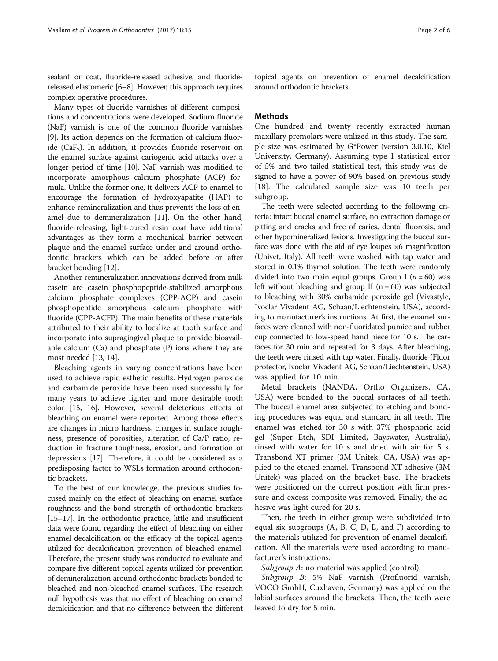sealant or coat, fluoride-released adhesive, and fluoridereleased elastomeric [\[6](#page-5-0)–[8](#page-5-0)]. However, this approach requires complex operative procedures.

Many types of fluoride varnishes of different compositions and concentrations were developed. Sodium fluoride (NaF) varnish is one of the common fluoride varnishes [[9\]](#page-5-0). Its action depends on the formation of calcium fluoride  $(CaF<sub>2</sub>)$ . In addition, it provides fluoride reservoir on the enamel surface against cariogenic acid attacks over a longer period of time [\[10\]](#page-5-0). NaF varnish was modified to incorporate amorphous calcium phosphate (ACP) formula. Unlike the former one, it delivers ACP to enamel to encourage the formation of hydroxyapatite (HAP) to enhance remineralization and thus prevents the loss of enamel due to demineralization [[11](#page-5-0)]. On the other hand, fluoride-releasing, light-cured resin coat have additional advantages as they form a mechanical barrier between plaque and the enamel surface under and around orthodontic brackets which can be added before or after bracket bonding [\[12\]](#page-5-0).

Another remineralization innovations derived from milk casein are casein phosphopeptide-stabilized amorphous calcium phosphate complexes (CPP-ACP) and casein phosphopeptide amorphous calcium phosphate with fluoride (CPP-ACFP). The main benefits of these materials attributed to their ability to localize at tooth surface and incorporate into supragingival plaque to provide bioavailable calcium (Ca) and phosphate (P) ions where they are most needed [\[13](#page-5-0), [14](#page-5-0)].

Bleaching agents in varying concentrations have been used to achieve rapid esthetic results. Hydrogen peroxide and carbamide peroxide have been used successfully for many years to achieve lighter and more desirable tooth color [\[15, 16\]](#page-5-0). However, several deleterious effects of bleaching on enamel were reported. Among those effects are changes in micro hardness, changes in surface roughness, presence of porosities, alteration of Ca/P ratio, reduction in fracture toughness, erosion, and formation of depressions [[17](#page-5-0)]. Therefore, it could be considered as a predisposing factor to WSLs formation around orthodontic brackets.

To the best of our knowledge, the previous studies focused mainly on the effect of bleaching on enamel surface roughness and the bond strength of orthodontic brackets [[15](#page-5-0)–[17](#page-5-0)]. In the orthodontic practice, little and insufficient data were found regarding the effect of bleaching on either enamel decalcification or the efficacy of the topical agents utilized for decalcification prevention of bleached enamel. Therefore, the present study was conducted to evaluate and compare five different topical agents utilized for prevention of demineralization around orthodontic brackets bonded to bleached and non-bleached enamel surfaces. The research null hypothesis was that no effect of bleaching on enamel decalcification and that no difference between the different

topical agents on prevention of enamel decalcification around orthodontic brackets.

#### Methods

One hundred and twenty recently extracted human maxillary premolars were utilized in this study. The sample size was estimated by G\*Power (version 3.0.10, Kiel University, Germany). Assuming type I statistical error of 5% and two-tailed statistical test, this study was designed to have a power of 90% based on previous study [[18\]](#page-5-0). The calculated sample size was 10 teeth per subgroup.

The teeth were selected according to the following criteria: intact buccal enamel surface, no extraction damage or pitting and cracks and free of caries, dental fluorosis, and other hypomineralized lesions. Investigating the buccal surface was done with the aid of eye loupes  $\times$ 6 magnification (Univet, Italy). All teeth were washed with tap water and stored in 0.1% thymol solution. The teeth were randomly divided into two main equal groups. Group I ( $n = 60$ ) was left without bleaching and group II ( $n = 60$ ) was subjected to bleaching with 30% carbamide peroxide gel (Vivastyle, Ivoclar Vivadent AG, Schaan/Liechtenstein, USA), according to manufacturer's instructions. At first, the enamel surfaces were cleaned with non-fluoridated pumice and rubber cup connected to low-speed hand piece for 10 s. The carfaces for 30 min and repeated for 3 days. After bleaching, the teeth were rinsed with tap water. Finally, fluoride (Fluor protector, Ivoclar Vivadent AG, Schaan/Liechtenstein, USA) was applied for 10 min.

Metal brackets (NANDA, Ortho Organizers, CA, USA) were bonded to the buccal surfaces of all teeth. The buccal enamel area subjected to etching and bonding procedures was equal and standard in all teeth. The enamel was etched for 30 s with 37% phosphoric acid gel (Super Etch, SDI Limited, Bayswater, Australia), rinsed with water for 10 s and dried with air for 5 s. Transbond XT primer (3M Unitek, CA, USA) was applied to the etched enamel. Transbond XT adhesive (3M Unitek) was placed on the bracket base. The brackets were positioned on the correct position with firm pressure and excess composite was removed. Finally, the adhesive was light cured for 20 s.

Then, the teeth in either group were subdivided into equal six subgroups (A, B, C, D, E, and F) according to the materials utilized for prevention of enamel decalcification. All the materials were used according to manufacturer's instructions.

Subgroup A: no material was applied (control).

Subgroup B: 5% NaF varnish (Profluorid varnish, VOCO GmbH, Cuxhaven, Germany) was applied on the labial surfaces around the brackets. Then, the teeth were leaved to dry for 5 min.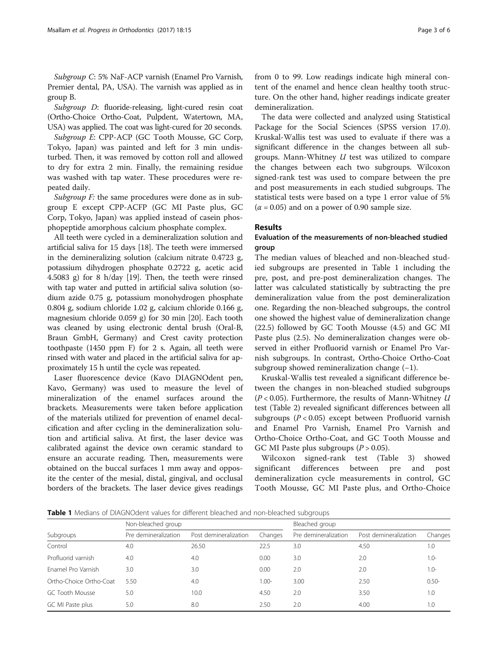<span id="page-2-0"></span>Subgroup C: 5% NaF-ACP varnish (Enamel Pro Varnish, Premier dental, PA, USA). The varnish was applied as in group B.

Subgroup D: fluoride-releasing, light-cured resin coat (Ortho-Choice Ortho-Coat, Pulpdent, Watertown, MA, USA) was applied. The coat was light-cured for 20 seconds.

Subgroup E: CPP-ACP (GC Tooth Mousse, GC Corp, Tokyo, Japan) was painted and left for 3 min undisturbed. Then, it was removed by cotton roll and allowed to dry for extra 2 min. Finally, the remaining residue was washed with tap water. These procedures were repeated daily.

Subgroup F: the same procedures were done as in subgroup E except CPP-ACFP (GC MI Paste plus, GC Corp, Tokyo, Japan) was applied instead of casein phosphopeptide amorphous calcium phosphate complex.

All teeth were cycled in a demineralization solution and artificial saliva for 15 days [\[18\]](#page-5-0). The teeth were immersed in the demineralizing solution (calcium nitrate 0.4723 g, potassium dihydrogen phosphate 0.2722 g, acetic acid 4.5083 g) for 8 h/day [\[19\]](#page-5-0). Then, the teeth were rinsed with tap water and putted in artificial saliva solution (sodium azide 0.75 g, potassium monohydrogen phosphate 0.804 g, sodium chloride 1.02 g, calcium chloride 0.166 g, magnesium chloride 0.059 g) for 30 min [\[20\]](#page-5-0). Each tooth was cleaned by using electronic dental brush (Oral-B, Braun GmbH, Germany) and Crest cavity protection toothpaste (1450 ppm F) for 2 s. Again, all teeth were rinsed with water and placed in the artificial saliva for approximately 15 h until the cycle was repeated.

Laser fluorescence device (Kavo DIAGNOdent pen, Kavo, Germany) was used to measure the level of mineralization of the enamel surfaces around the brackets. Measurements were taken before application of the materials utilized for prevention of enamel decalcification and after cycling in the demineralization solution and artificial saliva. At first, the laser device was calibrated against the device own ceramic standard to ensure an accurate reading. Then, measurements were obtained on the buccal surfaces 1 mm away and opposite the center of the mesial, distal, gingival, and occlusal borders of the brackets. The laser device gives readings from 0 to 99. Low readings indicate high mineral content of the enamel and hence clean healthy tooth structure. On the other hand, higher readings indicate greater demineralization.

The data were collected and analyzed using Statistical Package for the Social Sciences (SPSS version 17.0). Kruskal-Wallis test was used to evaluate if there was a significant difference in the changes between all subgroups. Mann-Whitney  $U$  test was utilized to compare the changes between each two subgroups. Wilcoxon signed-rank test was used to compare between the pre and post measurements in each studied subgroups. The statistical tests were based on a type 1 error value of 5%  $(\alpha = 0.05)$  and on a power of 0.90 sample size.

#### Results

## Evaluation of the measurements of non-bleached studied group

The median values of bleached and non-bleached studied subgroups are presented in Table 1 including the pre, post, and pre-post demineralization changes. The latter was calculated statistically by subtracting the pre demineralization value from the post demineralization one. Regarding the non-bleached subgroups, the control one showed the highest value of demineralization change (22.5) followed by GC Tooth Mousse (4.5) and GC MI Paste plus (2.5). No demineralization changes were observed in either Profluorid varnish or Enamel Pro Varnish subgroups. In contrast, Ortho-Choice Ortho-Coat subgroup showed remineralization change  $(-1)$ .

Kruskal-Wallis test revealed a significant difference between the changes in non-bleached studied subgroups  $(P<0.05)$ . Furthermore, the results of Mann-Whitney U test (Table [2](#page-3-0)) revealed significant differences between all subgroups  $(P < 0.05)$  except between Profluorid varnish and Enamel Pro Varnish, Enamel Pro Varnish and Ortho-Choice Ortho-Coat, and GC Tooth Mousse and GC MI Paste plus subgroups  $(P > 0.05)$ .

Wilcoxon signed-rank test (Table [3](#page-3-0)) showed significant differences between pre and post demineralization cycle measurements in control, GC Tooth Mousse, GC MI Paste plus, and Ortho-Choice

Table 1 Medians of DIAGNOdent values for different bleached and non-bleached subgroups

|                         | Non-bleached group   |                       |          | Bleached group       |                       |          |  |
|-------------------------|----------------------|-----------------------|----------|----------------------|-----------------------|----------|--|
| Subgroups               | Pre demineralization | Post demineralization | Changes  | Pre demineralization | Post demineralization | Changes  |  |
| Control                 | 4.0                  | 26.50                 | 22.5     | 3.0                  | 4.50                  | 1.0      |  |
| Profluorid varnish      | 4.0                  | 4.0                   | 0.00     | 3.0                  | 2.0                   | $1.0 -$  |  |
| Fnamel Pro Varnish      | 3.0                  | 3.0                   | 0.00     | 2.0                  | 2.0                   | $1.0 -$  |  |
| Ortho-Choice Ortho-Coat | 5.50                 | 4.0                   | $1.00 -$ | 3.00                 | 2.50                  | $0.50 -$ |  |
| <b>GC Tooth Mousse</b>  | 5.0                  | 10.0                  | 4.50     | 2.0                  | 3.50                  | 1.0      |  |
| GC MI Paste plus        | 5.0                  | 8.0                   | 2.50     | 2.0                  | 4.00                  | 1.0      |  |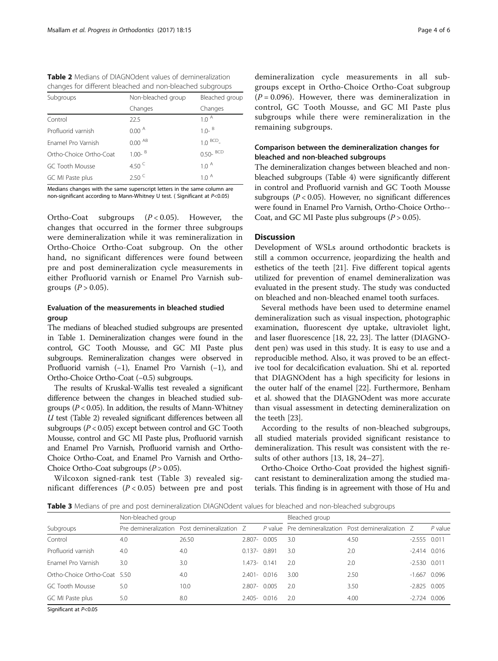<span id="page-3-0"></span>Table 2 Medians of DIAGNOdent values of demineralization changes for different bleached and non-bleached subgroups

| Subgroups               | Non-bleached group | Bleached group         |  |  |
|-------------------------|--------------------|------------------------|--|--|
|                         | Changes            | Changes                |  |  |
| Control                 | 22.5               | 1.0 <sup>A</sup>       |  |  |
| Profluorid varnish      | 0.00 <sup>A</sup>  | $1.0-$ <sup>B</sup>    |  |  |
| Enamel Pro Varnish      | 0.00 <sup>AB</sup> | $1.0$ BCD <sub>-</sub> |  |  |
| Ortho-Choice Ortho-Coat | $1.00 - B$         | $0.50 - BCD$           |  |  |
| <b>GC Tooth Mousse</b>  | 4.50 $\degree$     | 1.0 <sup>A</sup>       |  |  |
| GC MI Paste plus        | 2.50 <sup>C</sup>  | 10 <sup>A</sup>        |  |  |

Medians changes with the same superscript letters in the same column are non-significant according to Mann-Whitney U test. ( Significant at P<0.05)

Ortho-Coat subgroups  $(P < 0.05)$ . However, the changes that occurred in the former three subgroups were demineralization while it was remineralization in Ortho-Choice Ortho-Coat subgroup. On the other hand, no significant differences were found between pre and post demineralization cycle measurements in either Profluorid varnish or Enamel Pro Varnish subgroups  $(P > 0.05)$ .

## Evaluation of the measurements in bleached studied group

The medians of bleached studied subgroups are presented in Table [1.](#page-2-0) Demineralization changes were found in the control, GC Tooth Mousse, and GC MI Paste plus subgroups. Remineralization changes were observed in Profluorid varnish (−1), Enamel Pro Varnish (−1), and Ortho-Choice Ortho-Coat (−0.5) subgroups.

The results of Kruskal-Wallis test revealed a significant difference between the changes in bleached studied subgroups ( $P < 0.05$ ). In addition, the results of Mann-Whitney U test (Table 2) revealed significant differences between all subgroups ( $P < 0.05$ ) except between control and GC Tooth Mousse, control and GC MI Paste plus, Profluorid varnish and Enamel Pro Varnish, Profluorid varnish and Ortho-Choice Ortho-Coat, and Enamel Pro Varnish and Ortho-Choice Ortho-Coat subgroups  $(P > 0.05)$ .

Wilcoxon signed-rank test (Table 3) revealed significant differences  $(P < 0.05)$  between pre and post

demineralization cycle measurements in all subgroups except in Ortho-Choice Ortho-Coat subgroup  $(P = 0.096)$ . However, there was demineralization in control, GC Tooth Mousse, and GC MI Paste plus subgroups while there were remineralization in the remaining subgroups.

## Comparison between the demineralization changes for bleached and non-bleached subgroups

The demineralization changes between bleached and nonbleached subgroups (Table [4\)](#page-4-0) were significantly different in control and Profluorid varnish and GC Tooth Mousse subgroups ( $P < 0.05$ ). However, no significant differences were found in Enamel Pro Varnish, Ortho-Choice Ortho-- Coat, and GC MI Paste plus subgroups  $(P > 0.05)$ .

### **Discussion**

Development of WSLs around orthodontic brackets is still a common occurrence, jeopardizing the health and esthetics of the teeth [[21](#page-5-0)]. Five different topical agents utilized for prevention of enamel demineralization was evaluated in the present study. The study was conducted on bleached and non-bleached enamel tooth surfaces.

Several methods have been used to determine enamel demineralization such as visual inspection, photographic examination, fluorescent dye uptake, ultraviolet light, and laser fluorescence [\[18, 22, 23\]](#page-5-0). The latter (DIAGNOdent pen) was used in this study. It is easy to use and a reproducible method. Also, it was proved to be an effective tool for decalcification evaluation. Shi et al. reported that DIAGNOdent has a high specificity for lesions in the outer half of the enamel [[22\]](#page-5-0). Furthermore, Benham et al. showed that the DIAGNOdent was more accurate than visual assessment in detecting demineralization on the teeth [\[23\]](#page-5-0).

According to the results of non-bleached subgroups, all studied materials provided significant resistance to demineralization. This result was consistent with the results of other authors [[13, 18, 24](#page-5-0)–[27](#page-5-0)].

Ortho-Choice Ortho-Coat provided the highest significant resistant to demineralization among the studied materials. This finding is in agreement with those of Hu and

Table 3 Medians of pre and post demineralization DIAGNOdent values for bleached and non-bleached subgroups

|                              | Non-bleached group |                                              |                 |       | Bleached group |                                                      |                |           |
|------------------------------|--------------------|----------------------------------------------|-----------------|-------|----------------|------------------------------------------------------|----------------|-----------|
| Subgroups                    |                    | Pre demineralization Post demineralization Z |                 |       |                | P value Pre demineralization Post demineralization Z |                | $P$ value |
| Control                      | 4.0                | 26.50                                        | 2.807-          | 0.005 | 3.0            | 4.50                                                 | $-2.555$ 0.011 |           |
| Profluorid varnish           | 4.0                | 4.0                                          | $0.137 -$       | 0.891 | 3.0            | 2.0                                                  | $-2.414$ 0.016 |           |
| Fnamel Pro Varnish           | 3.0                | 3.0                                          | 1.473-0.141     |       | 2.0            | 2.0                                                  | $-2.530$ 0.011 |           |
| Ortho-Choice Ortho-Coat 5.50 |                    | 4.0                                          | $2.401 - 0.016$ |       | 3.00           | 2.50                                                 | $-1.667$ 0.096 |           |
| GC Tooth Mousse              | 5.0                | 10.0                                         | 2.807-          | 0.005 | 2.0            | 3.50                                                 | $-2.825$ 0.005 |           |
| GC MI Paste plus             | 5.0                | 8.0                                          | $2.405 - 0.016$ |       | 20             | 4.00                                                 | $-2.724$ 0.006 |           |

Significant at P<0.05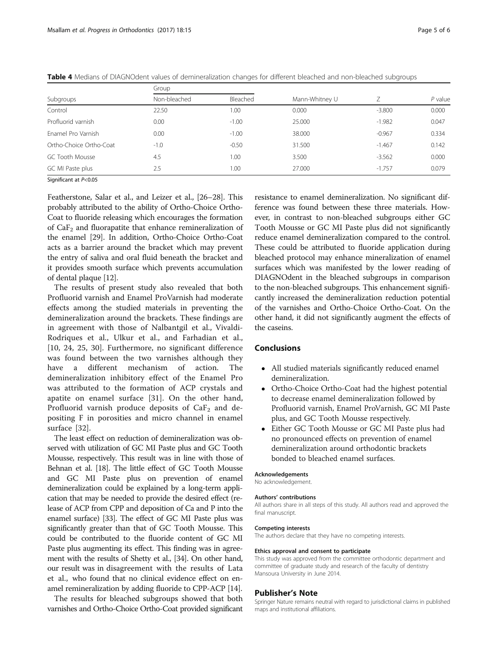|                                                  | Group        |          |                |          |           |
|--------------------------------------------------|--------------|----------|----------------|----------|-----------|
| Subgroups                                        | Non-bleached | Bleached | Mann-Whitney U |          | $P$ value |
| Control                                          | 22.50        | 1.00     | 0.000          | $-3.800$ | 0.000     |
| Profluorid varnish                               | 0.00         | $-1.00$  | 25,000         | $-1.982$ | 0.047     |
| Enamel Pro Varnish                               | 0.00         | $-1.00$  | 38,000         | $-0.967$ | 0.334     |
| Ortho-Choice Ortho-Coat                          | $-1.0$       | $-0.50$  | 31.500         | $-1.467$ | 0.142     |
| <b>GC Tooth Mousse</b>                           | 4.5          | 1.00     | 3.500          | $-3.562$ | 0.000     |
| GC MI Paste plus                                 | 2.5          | 1.00     | 27,000         | $-1.757$ | 0.079     |
| $\sim$ $\sim$ $\sim$ $\sim$ $\sim$ $\sim$ $\sim$ |              |          |                |          |           |

<span id="page-4-0"></span>Table 4 Medians of DIAGNOdent values of demineralization changes for different bleached and non-bleached subgroups

Significant at P<0.05

Featherstone, Salar et al., and Leizer et al., [[26](#page-5-0)–[28\]](#page-5-0). This probably attributed to the ability of Ortho-Choice Ortho-Coat to fluoride releasing which encourages the formation of  $CaF<sub>2</sub>$  and fluorapatite that enhance remineralization of the enamel [[29](#page-5-0)]. In addition, Ortho-Choice Ortho-Coat acts as a barrier around the bracket which may prevent the entry of saliva and oral fluid beneath the bracket and it provides smooth surface which prevents accumulation of dental plaque [[12](#page-5-0)].

The results of present study also revealed that both Profluorid varnish and Enamel ProVarnish had moderate effects among the studied materials in preventing the demineralization around the brackets. These findings are in agreement with those of Nalbantgil et al., Vivaldi-Rodriques et al., Ulkur et al., and Farhadian et al., [[10, 24](#page-5-0), [25, 30\]](#page-5-0). Furthermore, no significant difference was found between the two varnishes although they have a different mechanism of action. The demineralization inhibitory effect of the Enamel Pro was attributed to the formation of ACP crystals and apatite on enamel surface [[31\]](#page-5-0). On the other hand, Profluorid varnish produce deposits of  $CaF<sub>2</sub>$  and depositing F in porosities and micro channel in enamel surface [\[32](#page-5-0)].

The least effect on reduction of demineralization was observed with utilization of GC MI Paste plus and GC Tooth Mousse, respectively. This result was in line with those of Behnan et al. [\[18\]](#page-5-0). The little effect of GC Tooth Mousse and GC MI Paste plus on prevention of enamel demineralization could be explained by a long-term application that may be needed to provide the desired effect (release of ACP from CPP and deposition of Ca and P into the enamel surface) [[33](#page-5-0)]. The effect of GC MI Paste plus was significantly greater than that of GC Tooth Mousse. This could be contributed to the fluoride content of GC MI Paste plus augmenting its effect. This finding was in agreement with the results of Shetty et al., [\[34](#page-5-0)]. On other hand, our result was in disagreement with the results of Lata et al., who found that no clinical evidence effect on enamel remineralization by adding fluoride to CPP-ACP [\[14\]](#page-5-0).

The results for bleached subgroups showed that both varnishes and Ortho-Choice Ortho-Coat provided significant resistance to enamel demineralization. No significant difference was found between these three materials. However, in contrast to non-bleached subgroups either GC Tooth Mousse or GC MI Paste plus did not significantly reduce enamel demineralization compared to the control. These could be attributed to fluoride application during bleached protocol may enhance mineralization of enamel surfaces which was manifested by the lower reading of DIAGNOdent in the bleached subgroups in comparison to the non-bleached subgroups. This enhancement significantly increased the demineralization reduction potential of the varnishes and Ortho-Choice Ortho-Coat. On the other hand, it did not significantly augment the effects of the caseins.

#### Conclusions

- All studied materials significantly reduced enamel demineralization.
- Ortho-Choice Ortho-Coat had the highest potential to decrease enamel demineralization followed by Profluorid varnish, Enamel ProVarnish, GC MI Paste plus, and GC Tooth Mousse respectively.
- Either GC Tooth Mousse or GC MI Paste plus had no pronounced effects on prevention of enamel demineralization around orthodontic brackets bonded to bleached enamel surfaces.

#### Acknowledgements

No acknowledgement.

#### Authors' contributions

All authors share in all steps of this study. All authors read and approved the final manuscript

#### Competing interests

The authors declare that they have no competing interests.

#### Ethics approval and consent to participate

This study was approved from the committee orthodontic department and committee of graduate study and research of the faculty of dentistry Mansoura University in June 2014.

#### Publisher's Note

Springer Nature remains neutral with regard to jurisdictional claims in published maps and institutional affiliations.